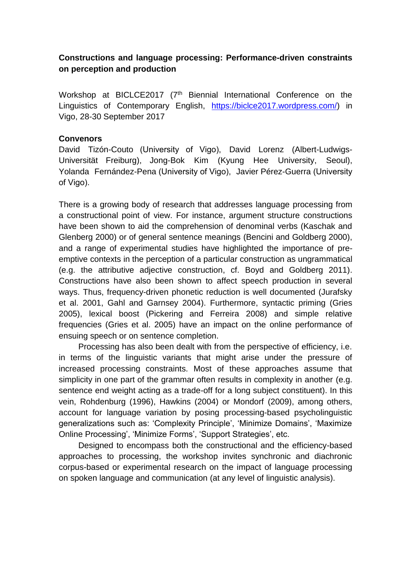## **Constructions and language processing: Performance-driven constraints on perception and production**

Workshop at BICLCE2017 (7<sup>th</sup> Biennial International Conference on the Linguistics of Contemporary English, [https://biclce2017.wordpress.com/\)](https://biclce2017.wordpress.com/) in Vigo, 28-30 September 2017

## **Convenors**

David Tizón-Couto (University of Vigo), David Lorenz (Albert-Ludwigs-Universität Freiburg), Jong-Bok Kim (Kyung Hee University, Seoul), Yolanda Fernández-Pena (University of Vigo), Javier Pérez-Guerra (University of Vigo).

There is a growing body of research that addresses language processing from a constructional point of view. For instance, argument structure constructions have been shown to aid the comprehension of denominal verbs (Kaschak and Glenberg 2000) or of general sentence meanings (Bencini and Goldberg 2000), and a range of experimental studies have highlighted the importance of preemptive contexts in the perception of a particular construction as ungrammatical (e.g. the attributive adjective construction, cf. Boyd and Goldberg 2011). Constructions have also been shown to affect speech production in several ways. Thus, frequency-driven phonetic reduction is well documented (Jurafsky et al. 2001, Gahl and Garnsey 2004). Furthermore, syntactic priming (Gries 2005), lexical boost (Pickering and Ferreira 2008) and simple relative frequencies (Gries et al. 2005) have an impact on the online performance of ensuing speech or on sentence completion.

Processing has also been dealt with from the perspective of efficiency, i.e. in terms of the linguistic variants that might arise under the pressure of increased processing constraints. Most of these approaches assume that simplicity in one part of the grammar often results in complexity in another (e.g. sentence end weight acting as a trade-off for a long subject constituent). In this vein, Rohdenburg (1996), Hawkins (2004) or Mondorf (2009), among others, account for language variation by posing processing-based psycholinguistic generalizations such as: 'Complexity Principle', 'Minimize Domains', 'Maximize Online Processing', 'Minimize Forms', 'Support Strategies', etc.

Designed to encompass both the constructional and the efficiency-based approaches to processing, the workshop invites synchronic and diachronic corpus-based or experimental research on the impact of language processing on spoken language and communication (at any level of linguistic analysis).